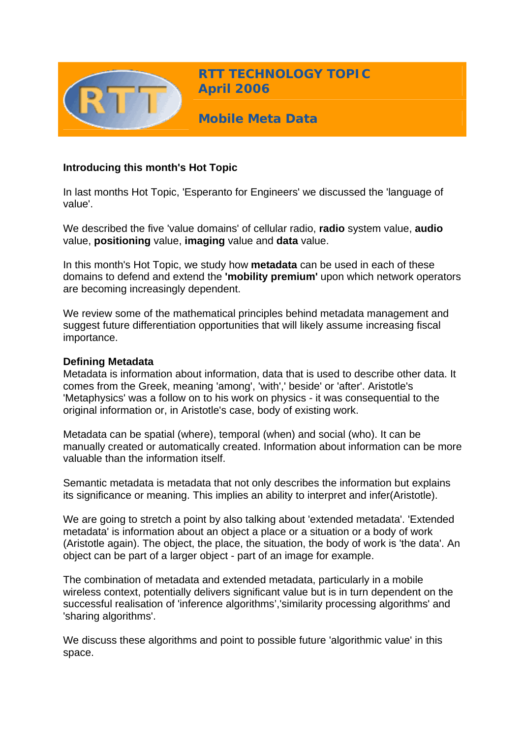

**RTT TECHNOLOGY TOPIC April 2006**

**Mobile Meta Data** 

# **Introducing this month's Hot Topic**

In last months Hot Topic, 'Esperanto for Engineers' we discussed the 'language of value'.

We described the five 'value domains' of cellular radio, **radio** system value, **audio** value, **positioning** value, **imaging** value and **data** value.

In this month's Hot Topic, we study how **metadata** can be used in each of these domains to defend and extend the **'mobility premium'** upon which network operators are becoming increasingly dependent.

We review some of the mathematical principles behind metadata management and suggest future differentiation opportunities that will likely assume increasing fiscal importance.

#### **Defining Metadata**

Metadata is information about information, data that is used to describe other data. It comes from the Greek, meaning 'among', 'with',' beside' or 'after'. Aristotle's 'Metaphysics' was a follow on to his work on physics - it was consequential to the original information or, in Aristotle's case, body of existing work.

Metadata can be spatial (where), temporal (when) and social (who). It can be manually created or automatically created. Information about information can be more valuable than the information itself.

Semantic metadata is metadata that not only describes the information but explains its significance or meaning. This implies an ability to interpret and infer(Aristotle).

We are going to stretch a point by also talking about 'extended metadata'. 'Extended metadata' is information about an object a place or a situation or a body of work (Aristotle again). The object, the place, the situation, the body of work is 'the data'. An object can be part of a larger object - part of an image for example.

The combination of metadata and extended metadata, particularly in a mobile wireless context, potentially delivers significant value but is in turn dependent on the successful realisation of 'inference algorithms','similarity processing algorithms' and 'sharing algorithms'.

We discuss these algorithms and point to possible future 'algorithmic value' in this space.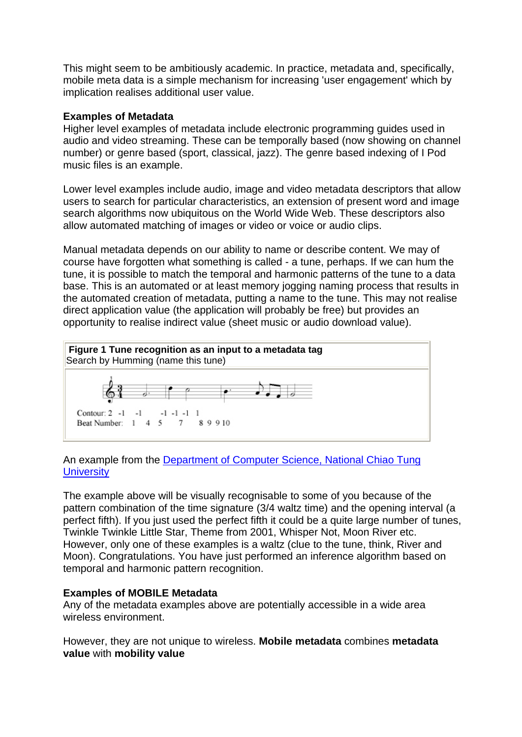This might seem to be ambitiously academic. In practice, metadata and, specifically, mobile meta data is a simple mechanism for increasing 'user engagement' which by implication realises additional user value.

## **Examples of Metadata**

Higher level examples of metadata include electronic programming guides used in audio and video streaming. These can be temporally based (now showing on channel number) or genre based (sport, classical, jazz). The genre based indexing of I Pod music files is an example.

Lower level examples include audio, image and video metadata descriptors that allow users to search for particular characteristics, an extension of present word and image search algorithms now ubiquitous on the World Wide Web. These descriptors also allow automated matching of images or video or voice or audio clips.

Manual metadata depends on our ability to name or describe content. We may of course have forgotten what something is called - a tune, perhaps. If we can hum the tune, it is possible to match the temporal and harmonic patterns of the tune to a data base. This is an automated or at least memory jogging naming process that results in the automated creation of metadata, putting a name to the tune. This may not realise direct application value (the application will probably be free) but provides an opportunity to realise indirect value (sheet music or audio download value).



# An example from the [Department of Computer Science, National Chiao Tung](http://www.csie.nctu.edu.tw/%7Edychen/MP7_overview1.pdf)  **[University](http://www.csie.nctu.edu.tw/%7Edychen/MP7_overview1.pdf)**

The example above will be visually recognisable to some of you because of the pattern combination of the time signature (3/4 waltz time) and the opening interval (a perfect fifth). If you just used the perfect fifth it could be a quite large number of tunes, Twinkle Twinkle Little Star, Theme from 2001, Whisper Not, Moon River etc. However, only one of these examples is a waltz (clue to the tune, think, River and Moon). Congratulations. You have just performed an inference algorithm based on temporal and harmonic pattern recognition.

## **Examples of MOBILE Metadata**

Any of the metadata examples above are potentially accessible in a wide area wireless environment.

However, they are not unique to wireless. **Mobile metadata** combines **metadata value** with **mobility value**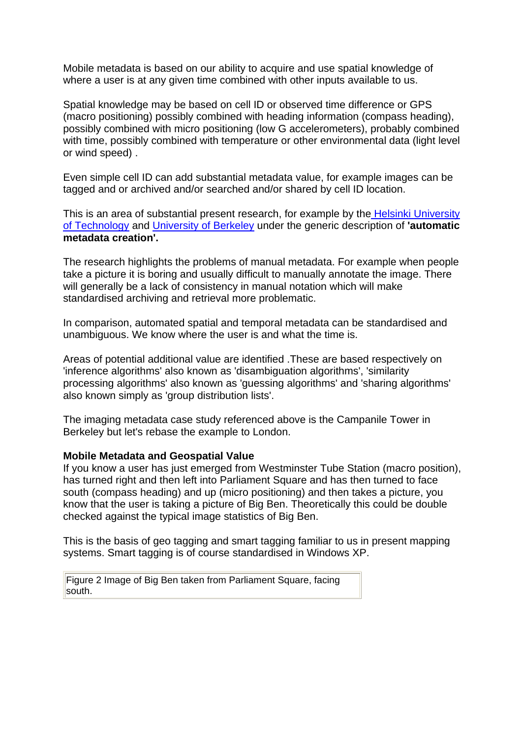Mobile metadata is based on our ability to acquire and use spatial knowledge of where a user is at any given time combined with other inputs available to us.

Spatial knowledge may be based on cell ID or observed time difference or GPS (macro positioning) possibly combined with heading information (compass heading), possibly combined with micro positioning (low G accelerometers), probably combined with time, possibly combined with temperature or other environmental data (light level or wind speed) .

Even simple cell ID can add substantial metadata value, for example images can be tagged and or archived and/or searched and/or shared by cell ID location.

This is an area of substantial present research, for example by the Helsinki University [of Technology](http://www.cs.hut.fi/%7Ersarvas/publications/Sarvas_MetadataCreationSystem.pdf) and [University of Berkeley](http://garage.sims.berkeley.edu/mmm2.cfm) under the generic description of **'automatic metadata creation'.**

The research highlights the problems of manual metadata. For example when people take a picture it is boring and usually difficult to manually annotate the image. There will generally be a lack of consistency in manual notation which will make standardised archiving and retrieval more problematic.

In comparison, automated spatial and temporal metadata can be standardised and unambiguous. We know where the user is and what the time is.

Areas of potential additional value are identified .These are based respectively on 'inference algorithms' also known as 'disambiguation algorithms', 'similarity processing algorithms' also known as 'guessing algorithms' and 'sharing algorithms' also known simply as 'group distribution lists'.

The imaging metadata case study referenced above is the Campanile Tower in Berkeley but let's rebase the example to London.

#### **Mobile Metadata and Geospatial Value**

If you know a user has just emerged from Westminster Tube Station (macro position), has turned right and then left into Parliament Square and has then turned to face south (compass heading) and up (micro positioning) and then takes a picture, you know that the user is taking a picture of Big Ben. Theoretically this could be double checked against the typical image statistics of Big Ben.

This is the basis of geo tagging and smart tagging familiar to us in present mapping systems. Smart tagging is of course standardised in Windows XP.

Figure 2 Image of Big Ben taken from Parliament Square, facing south.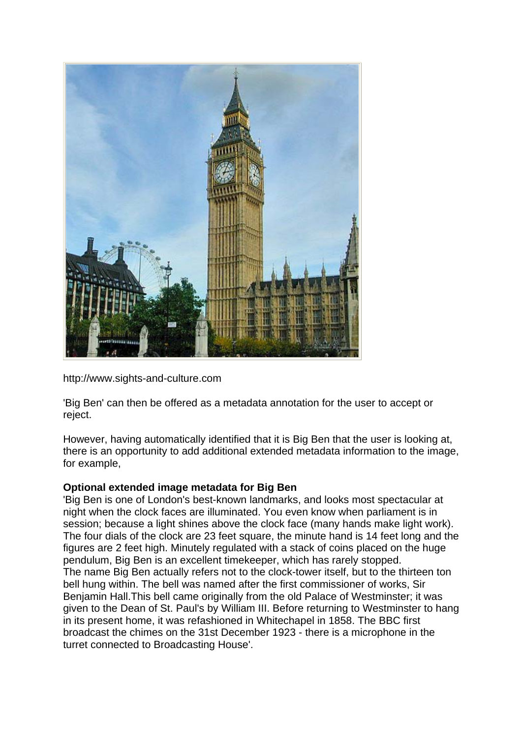

http://www.sights-and-culture.com

'Big Ben' can then be offered as a metadata annotation for the user to accept or reject.

However, having automatically identified that it is Big Ben that the user is looking at, there is an opportunity to add additional extended metadata information to the image, for example,

## **Optional extended image metadata for Big Ben**

'Big Ben is one of London's best-known landmarks, and looks most spectacular at night when the clock faces are illuminated. You even know when parliament is in session; because a light shines above the clock face (many hands make light work). The four dials of the clock are 23 feet square, the minute hand is 14 feet long and the figures are 2 feet high. Minutely regulated with a stack of coins placed on the huge pendulum, Big Ben is an excellent timekeeper, which has rarely stopped. The name Big Ben actually refers not to the clock-tower itself, but to the thirteen ton bell hung within. The bell was named after the first commissioner of works, Sir Benjamin Hall.This bell came originally from the old Palace of Westminster; it was given to the Dean of St. Paul's by William III. Before returning to Westminster to hang in its present home, it was refashioned in Whitechapel in 1858. The BBC first broadcast the chimes on the 31st December 1923 - there is a microphone in the turret connected to Broadcasting House'.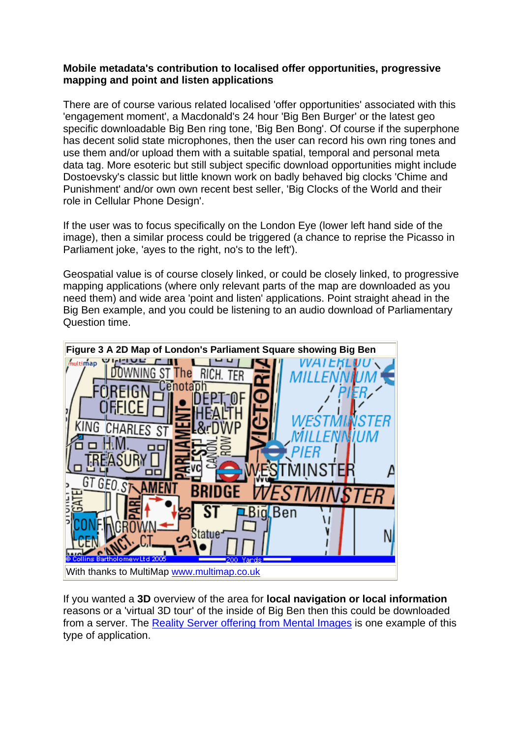## **Mobile metadata's contribution to localised offer opportunities, progressive mapping and point and listen applications**

There are of course various related localised 'offer opportunities' associated with this 'engagement moment', a Macdonald's 24 hour 'Big Ben Burger' or the latest geo specific downloadable Big Ben ring tone, 'Big Ben Bong'. Of course if the superphone has decent solid state microphones, then the user can record his own ring tones and use them and/or upload them with a suitable spatial, temporal and personal meta data tag. More esoteric but still subject specific download opportunities might include Dostoevsky's classic but little known work on badly behaved big clocks 'Chime and Punishment' and/or own own recent best seller, 'Big Clocks of the World and their role in Cellular Phone Design'.

If the user was to focus specifically on the London Eye (lower left hand side of the image), then a similar process could be triggered (a chance to reprise the Picasso in Parliament joke, 'ayes to the right, no's to the left').

Geospatial value is of course closely linked, or could be closely linked, to progressive mapping applications (where only relevant parts of the map are downloaded as you need them) and wide area 'point and listen' applications. Point straight ahead in the Big Ben example, and you could be listening to an audio download of Parliamentary Question time.



If you wanted a **3D** overview of the area for **local navigation or local information** reasons or a 'virtual 3D tour' of the inside of Big Ben then this could be downloaded from a server. The [Reality Server offering from Mental Images](http://www.mentalimages.com/) is one example of this type of application.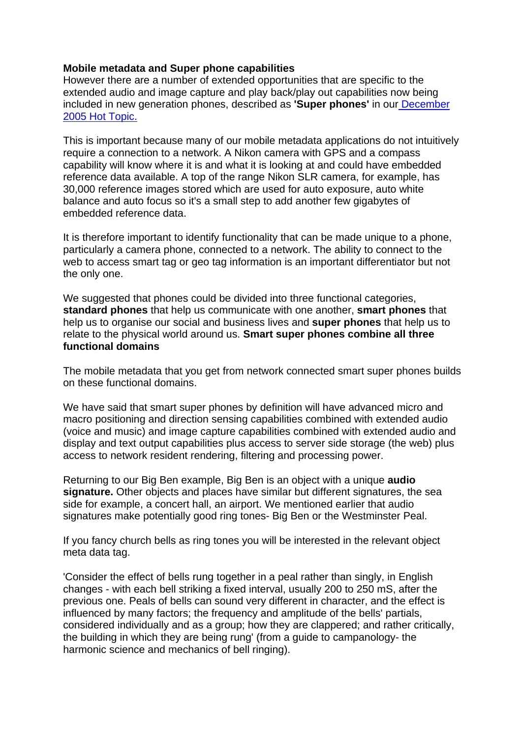## **Mobile metadata and Super phone capabilities**

However there are a number of extended opportunities that are specific to the extended audio and image capture and play back/play out capabilities now being included in new generation phones, described as **'Super phones'** in our [December](http://www.rttonline.com/HotTopics/HT_Dec05e.htm)  [2005 Hot Topic.](http://www.rttonline.com/HotTopics/HT_Dec05e.htm)

This is important because many of our mobile metadata applications do not intuitively require a connection to a network. A Nikon camera with GPS and a compass capability will know where it is and what it is looking at and could have embedded reference data available. A top of the range Nikon SLR camera, for example, has 30,000 reference images stored which are used for auto exposure, auto white balance and auto focus so it's a small step to add another few gigabytes of embedded reference data.

It is therefore important to identify functionality that can be made unique to a phone, particularly a camera phone, connected to a network. The ability to connect to the web to access smart tag or geo tag information is an important differentiator but not the only one.

We suggested that phones could be divided into three functional categories, **standard phones** that help us communicate with one another, **smart phones** that help us to organise our social and business lives and **super phones** that help us to relate to the physical world around us. **Smart super phones combine all three functional domains**

The mobile metadata that you get from network connected smart super phones builds on these functional domains.

We have said that smart super phones by definition will have advanced micro and macro positioning and direction sensing capabilities combined with extended audio (voice and music) and image capture capabilities combined with extended audio and display and text output capabilities plus access to server side storage (the web) plus access to network resident rendering, filtering and processing power.

Returning to our Big Ben example, Big Ben is an object with a unique **audio signature.** Other objects and places have similar but different signatures, the sea side for example, a concert hall, an airport. We mentioned earlier that audio signatures make potentially good ring tones- Big Ben or the Westminster Peal.

If you fancy church bells as ring tones you will be interested in the relevant object meta data tag.

'Consider the effect of bells rung together in a peal rather than singly, in English changes - with each bell striking a fixed interval, usually 200 to 250 mS, after the previous one. Peals of bells can sound very different in character, and the effect is influenced by many factors; the frequency and amplitude of the bells' partials, considered individually and as a group; how they are clappered; and rather critically, the building in which they are being rung' (from a guide to campanology- the harmonic science and mechanics of bell ringing).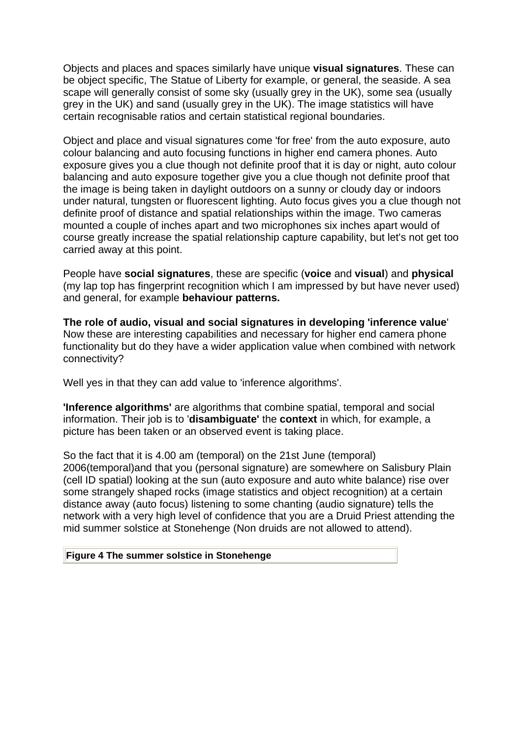Objects and places and spaces similarly have unique **visual signatures**. These can be object specific, The Statue of Liberty for example, or general, the seaside. A sea scape will generally consist of some sky (usually grey in the UK), some sea (usually grey in the UK) and sand (usually grey in the UK). The image statistics will have certain recognisable ratios and certain statistical regional boundaries.

Object and place and visual signatures come 'for free' from the auto exposure, auto colour balancing and auto focusing functions in higher end camera phones. Auto exposure gives you a clue though not definite proof that it is day or night, auto colour balancing and auto exposure together give you a clue though not definite proof that the image is being taken in daylight outdoors on a sunny or cloudy day or indoors under natural, tungsten or fluorescent lighting. Auto focus gives you a clue though not definite proof of distance and spatial relationships within the image. Two cameras mounted a couple of inches apart and two microphones six inches apart would of course greatly increase the spatial relationship capture capability, but let's not get too carried away at this point.

People have **social signatures**, these are specific (**voice** and **visual**) and **physical** (my lap top has fingerprint recognition which I am impressed by but have never used) and general, for example **behaviour patterns.**

**The role of audio, visual and social signatures in developing 'inference value**' Now these are interesting capabilities and necessary for higher end camera phone functionality but do they have a wider application value when combined with network connectivity?

Well yes in that they can add value to 'inference algorithms'.

**'Inference algorithms'** are algorithms that combine spatial, temporal and social information. Their job is to '**disambiguate'** the **context** in which, for example, a picture has been taken or an observed event is taking place.

So the fact that it is 4.00 am (temporal) on the 21st June (temporal) 2006(temporal)and that you (personal signature) are somewhere on Salisbury Plain (cell ID spatial) looking at the sun (auto exposure and auto white balance) rise over some strangely shaped rocks (image statistics and object recognition) at a certain distance away (auto focus) listening to some chanting (audio signature) tells the network with a very high level of confidence that you are a Druid Priest attending the mid summer solstice at Stonehenge (Non druids are not allowed to attend).

#### **Figure 4 The summer solstice in Stonehenge**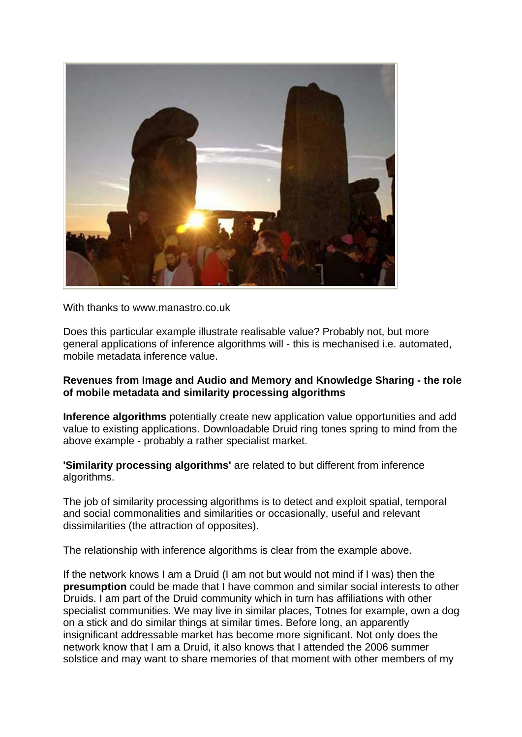

With thanks to www.manastro.co.uk

Does this particular example illustrate realisable value? Probably not, but more general applications of inference algorithms will - this is mechanised i.e. automated, mobile metadata inference value.

## **Revenues from Image and Audio and Memory and Knowledge Sharing - the role of mobile metadata and similarity processing algorithms**

**Inference algorithms** potentially create new application value opportunities and add value to existing applications. Downloadable Druid ring tones spring to mind from the above example - probably a rather specialist market.

**'Similarity processing algorithms'** are related to but different from inference algorithms.

The job of similarity processing algorithms is to detect and exploit spatial, temporal and social commonalities and similarities or occasionally, useful and relevant dissimilarities (the attraction of opposites).

The relationship with inference algorithms is clear from the example above.

If the network knows I am a Druid (I am not but would not mind if I was) then the **presumption** could be made that I have common and similar social interests to other Druids. I am part of the Druid community which in turn has affiliations with other specialist communities. We may live in similar places, Totnes for example, own a dog on a stick and do similar things at similar times. Before long, an apparently insignificant addressable market has become more significant. Not only does the network know that I am a Druid, it also knows that I attended the 2006 summer solstice and may want to share memories of that moment with other members of my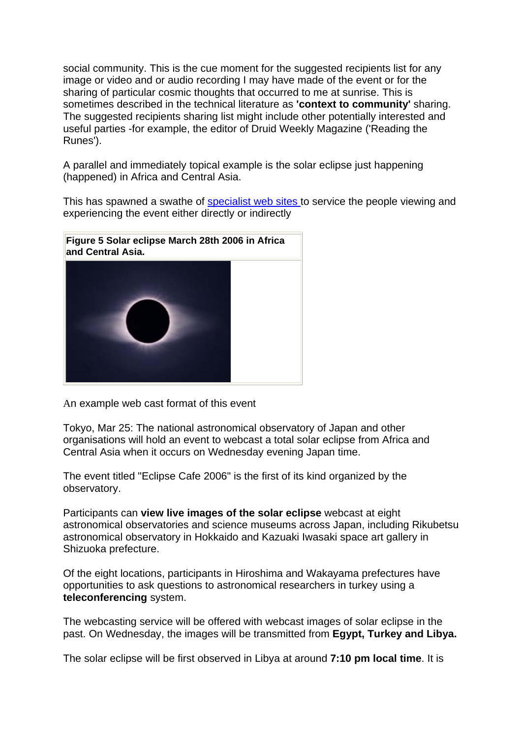social community. This is the cue moment for the suggested recipients list for any image or video and or audio recording I may have made of the event or for the sharing of particular cosmic thoughts that occurred to me at sunrise. This is sometimes described in the technical literature as **'context to community'** sharing. The suggested recipients sharing list might include other potentially interested and useful parties -for example, the editor of Druid Weekly Magazine ('Reading the Runes').

A parallel and immediately topical example is the solar eclipse just happening (happened) in Africa and Central Asia.

This has spawned a swathe of [specialist web sites t](http://www.zeenews.com/znnew/articles.asp?aid=284171&ssid=27&sid=ENV)o service the people viewing and experiencing the event either directly or indirectly



An example web cast format of this event

Tokyo, Mar 25: The national astronomical observatory of Japan and other organisations will hold an event to webcast a total solar eclipse from Africa and Central Asia when it occurs on Wednesday evening Japan time.

The event titled "Eclipse Cafe 2006" is the first of its kind organized by the observatory.

Participants can **view live images of the solar eclipse** webcast at eight astronomical observatories and science museums across Japan, including Rikubetsu astronomical observatory in Hokkaido and Kazuaki Iwasaki space art gallery in Shizuoka prefecture.

Of the eight locations, participants in Hiroshima and Wakayama prefectures have opportunities to ask questions to astronomical researchers in turkey using a **teleconferencing** system.

The webcasting service will be offered with webcast images of solar eclipse in the past. On Wednesday, the images will be transmitted from **Egypt, Turkey and Libya.**

The solar eclipse will be first observed in Libya at around **7:10 pm local time**. It is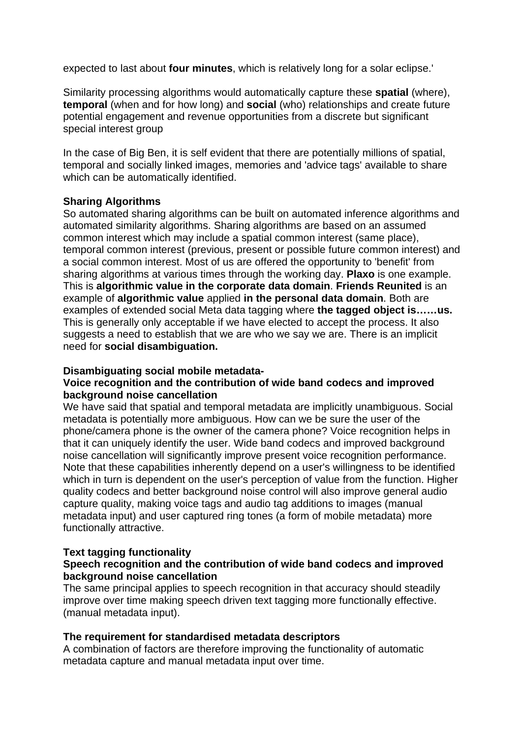expected to last about **four minutes**, which is relatively long for a solar eclipse.'

Similarity processing algorithms would automatically capture these **spatial** (where), **temporal** (when and for how long) and **social** (who) relationships and create future potential engagement and revenue opportunities from a discrete but significant special interest group

In the case of Big Ben, it is self evident that there are potentially millions of spatial, temporal and socially linked images, memories and 'advice tags' available to share which can be automatically identified.

## **Sharing Algorithms**

So automated sharing algorithms can be built on automated inference algorithms and automated similarity algorithms. Sharing algorithms are based on an assumed common interest which may include a spatial common interest (same place), temporal common interest (previous, present or possible future common interest) and a social common interest. Most of us are offered the opportunity to 'benefit' from sharing algorithms at various times through the working day. **Plaxo** is one example. This is **algorithmic value in the corporate data domain**. **Friends Reunited** is an example of **algorithmic value** applied **in the personal data domain**. Both are examples of extended social Meta data tagging where **the tagged object is……us.** This is generally only acceptable if we have elected to accept the process. It also suggests a need to establish that we are who we say we are. There is an implicit need for **social disambiguation.**

#### **Disambiguating social mobile metadata-**

#### **Voice recognition and the contribution of wide band codecs and improved background noise cancellation**

We have said that spatial and temporal metadata are implicitly unambiguous. Social metadata is potentially more ambiguous. How can we be sure the user of the phone/camera phone is the owner of the camera phone? Voice recognition helps in that it can uniquely identify the user. Wide band codecs and improved background noise cancellation will significantly improve present voice recognition performance. Note that these capabilities inherently depend on a user's willingness to be identified which in turn is dependent on the user's perception of value from the function. Higher quality codecs and better background noise control will also improve general audio capture quality, making voice tags and audio tag additions to images (manual metadata input) and user captured ring tones (a form of mobile metadata) more functionally attractive.

## **Text tagging functionality**

## **Speech recognition and the contribution of wide band codecs and improved background noise cancellation**

The same principal applies to speech recognition in that accuracy should steadily improve over time making speech driven text tagging more functionally effective. (manual metadata input).

#### **The requirement for standardised metadata descriptors**

A combination of factors are therefore improving the functionality of automatic metadata capture and manual metadata input over time.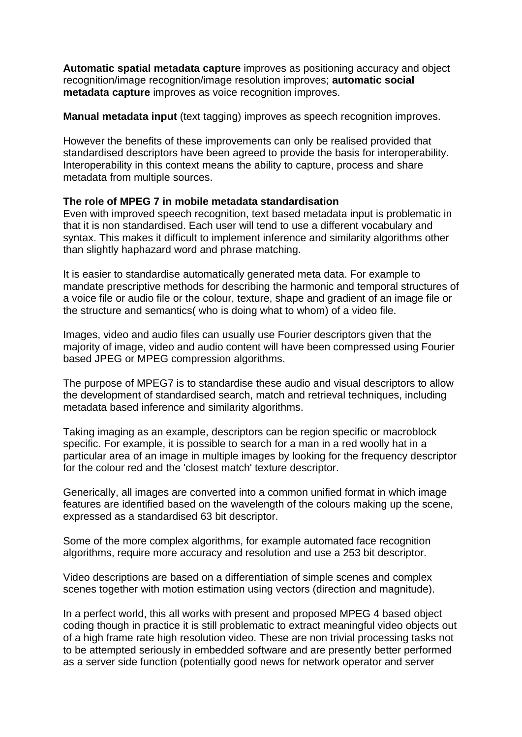**Automatic spatial metadata capture** improves as positioning accuracy and object recognition/image recognition/image resolution improves; **automatic social metadata capture** improves as voice recognition improves.

**Manual metadata input** (text tagging) improves as speech recognition improves.

However the benefits of these improvements can only be realised provided that standardised descriptors have been agreed to provide the basis for interoperability. Interoperability in this context means the ability to capture, process and share metadata from multiple sources.

## **The role of MPEG 7 in mobile metadata standardisation**

Even with improved speech recognition, text based metadata input is problematic in that it is non standardised. Each user will tend to use a different vocabulary and syntax. This makes it difficult to implement inference and similarity algorithms other than slightly haphazard word and phrase matching.

It is easier to standardise automatically generated meta data. For example to mandate prescriptive methods for describing the harmonic and temporal structures of a voice file or audio file or the colour, texture, shape and gradient of an image file or the structure and semantics( who is doing what to whom) of a video file.

Images, video and audio files can usually use Fourier descriptors given that the majority of image, video and audio content will have been compressed using Fourier based JPEG or MPEG compression algorithms.

The purpose of MPEG7 is to standardise these audio and visual descriptors to allow the development of standardised search, match and retrieval techniques, including metadata based inference and similarity algorithms.

Taking imaging as an example, descriptors can be region specific or macroblock specific. For example, it is possible to search for a man in a red woolly hat in a particular area of an image in multiple images by looking for the frequency descriptor for the colour red and the 'closest match' texture descriptor.

Generically, all images are converted into a common unified format in which image features are identified based on the wavelength of the colours making up the scene, expressed as a standardised 63 bit descriptor.

Some of the more complex algorithms, for example automated face recognition algorithms, require more accuracy and resolution and use a 253 bit descriptor.

Video descriptions are based on a differentiation of simple scenes and complex scenes together with motion estimation using vectors (direction and magnitude).

In a perfect world, this all works with present and proposed MPEG 4 based object coding though in practice it is still problematic to extract meaningful video objects out of a high frame rate high resolution video. These are non trivial processing tasks not to be attempted seriously in embedded software and are presently better performed as a server side function (potentially good news for network operator and server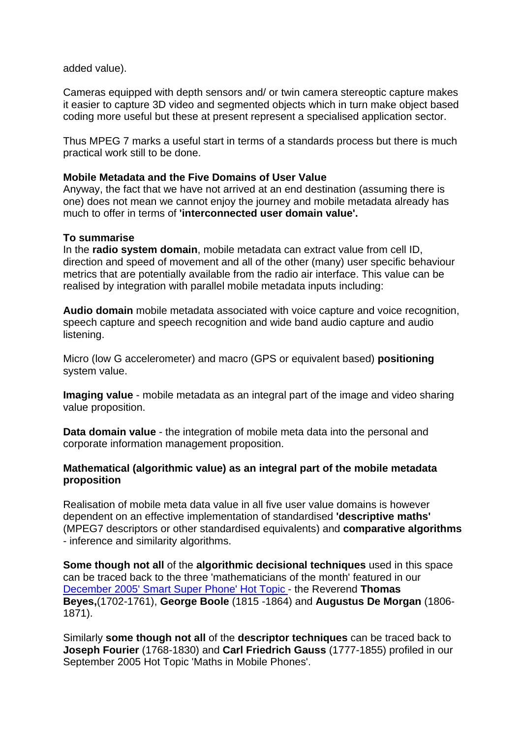added value).

Cameras equipped with depth sensors and/ or twin camera stereoptic capture makes it easier to capture 3D video and segmented objects which in turn make object based coding more useful but these at present represent a specialised application sector.

Thus MPEG 7 marks a useful start in terms of a standards process but there is much practical work still to be done.

## **Mobile Metadata and the Five Domains of User Value**

Anyway, the fact that we have not arrived at an end destination (assuming there is one) does not mean we cannot enjoy the journey and mobile metadata already has much to offer in terms of **'interconnected user domain value'.**

#### **To summarise**

In the **radio system domain**, mobile metadata can extract value from cell ID, direction and speed of movement and all of the other (many) user specific behaviour metrics that are potentially available from the radio air interface. This value can be realised by integration with parallel mobile metadata inputs including:

**Audio domain** mobile metadata associated with voice capture and voice recognition, speech capture and speech recognition and wide band audio capture and audio listening.

Micro (low G accelerometer) and macro (GPS or equivalent based) **positioning** system value.

**Imaging value** - mobile metadata as an integral part of the image and video sharing value proposition.

**Data domain value** - the integration of mobile meta data into the personal and corporate information management proposition.

## **Mathematical (algorithmic value) as an integral part of the mobile metadata proposition**

Realisation of mobile meta data value in all five user value domains is however dependent on an effective implementation of standardised **'descriptive maths'**  (MPEG7 descriptors or other standardised equivalents) and **comparative algorithms** - inference and similarity algorithms.

**Some though not all** of the **algorithmic decisional techniques** used in this space can be traced back to the three 'mathematicians of the month' featured in our [December 2005' Smart Super Phone' Hot Topic -](http://www.rttonline.com/HotTopics/HT_Dec05e.htm) the Reverend **Thomas Beyes,**(1702-1761), **George Boole** (1815 -1864) and **Augustus De Morgan** (1806- 1871).

Similarly **some though not all** of the **descriptor techniques** can be traced back to **Joseph Fourier** (1768-1830) and **Carl Friedrich Gauss** (1777-1855) profiled in our September 2005 Hot Topic 'Maths in Mobile Phones'.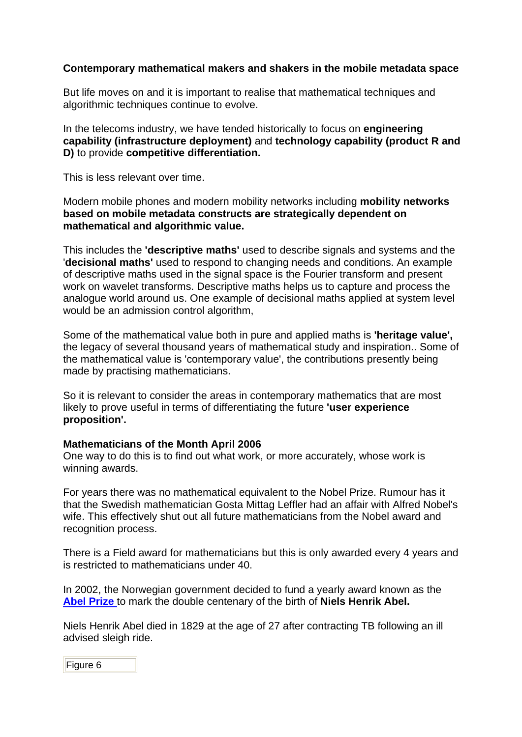## **Contemporary mathematical makers and shakers in the mobile metadata space**

But life moves on and it is important to realise that mathematical techniques and algorithmic techniques continue to evolve.

In the telecoms industry, we have tended historically to focus on **engineering capability (infrastructure deployment)** and **technology capability (product R and D)** to provide **competitive differentiation.**

This is less relevant over time.

Modern mobile phones and modern mobility networks including **mobility networks based on mobile metadata constructs are strategically dependent on mathematical and algorithmic value.**

This includes the **'descriptive maths'** used to describe signals and systems and the '**decisional maths'** used to respond to changing needs and conditions. An example of descriptive maths used in the signal space is the Fourier transform and present work on wavelet transforms. Descriptive maths helps us to capture and process the analogue world around us. One example of decisional maths applied at system level would be an admission control algorithm,

Some of the mathematical value both in pure and applied maths is **'heritage value',** the legacy of several thousand years of mathematical study and inspiration.. Some of the mathematical value is 'contemporary value', the contributions presently being made by practising mathematicians.

So it is relevant to consider the areas in contemporary mathematics that are most likely to prove useful in terms of differentiating the future **'user experience proposition'.**

## **Mathematicians of the Month April 2006**

One way to do this is to find out what work, or more accurately, whose work is winning awards.

For years there was no mathematical equivalent to the Nobel Prize. Rumour has it that the Swedish mathematician Gosta Mittag Leffler had an affair with Alfred Nobel's wife. This effectively shut out all future mathematicians from the Nobel award and recognition process.

There is a Field award for mathematicians but this is only awarded every 4 years and is restricted to mathematicians under 40.

In 2002, the Norwegian government decided to fund a yearly award known as the **[Abel Prize](http://www.abelprisen.no/)** to mark the double centenary of the birth of **Niels Henrik Abel.**

Niels Henrik Abel died in 1829 at the age of 27 after contracting TB following an ill advised sleigh ride.

Figure 6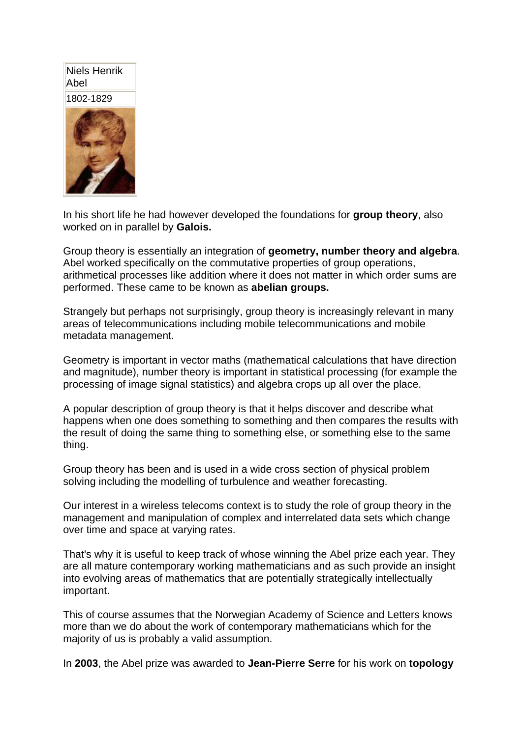# Niels Henrik Abel



In his short life he had however developed the foundations for **group theory**, also worked on in parallel by **Galois.**

Group theory is essentially an integration of **geometry, number theory and algebra**. Abel worked specifically on the commutative properties of group operations, arithmetical processes like addition where it does not matter in which order sums are performed. These came to be known as **abelian groups.**

Strangely but perhaps not surprisingly, group theory is increasingly relevant in many areas of telecommunications including mobile telecommunications and mobile metadata management.

Geometry is important in vector maths (mathematical calculations that have direction and magnitude), number theory is important in statistical processing (for example the processing of image signal statistics) and algebra crops up all over the place.

A popular description of group theory is that it helps discover and describe what happens when one does something to something and then compares the results with the result of doing the same thing to something else, or something else to the same thing.

Group theory has been and is used in a wide cross section of physical problem solving including the modelling of turbulence and weather forecasting.

Our interest in a wireless telecoms context is to study the role of group theory in the management and manipulation of complex and interrelated data sets which change over time and space at varying rates.

That's why it is useful to keep track of whose winning the Abel prize each year. They are all mature contemporary working mathematicians and as such provide an insight into evolving areas of mathematics that are potentially strategically intellectually important.

This of course assumes that the Norwegian Academy of Science and Letters knows more than we do about the work of contemporary mathematicians which for the majority of us is probably a valid assumption.

In **2003**, the Abel prize was awarded to **Jean-Pierre Serre** for his work on **topology**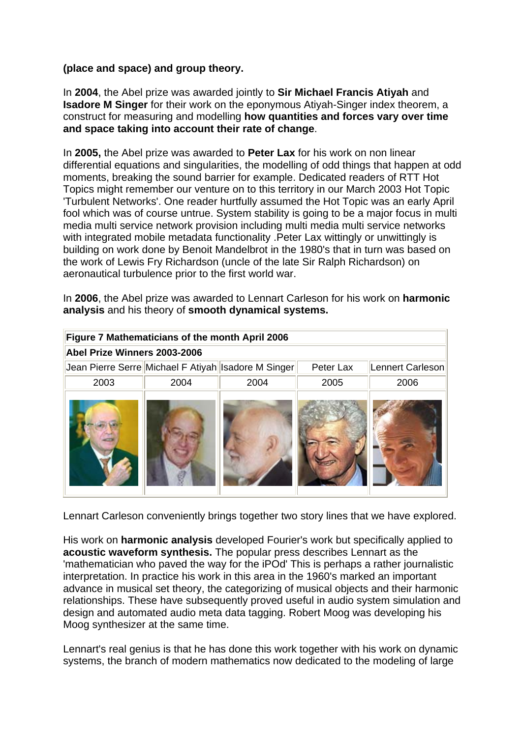## **(place and space) and group theory.**

In **2004**, the Abel prize was awarded jointly to **Sir Michael Francis Atiyah** and **Isadore M Singer** for their work on the eponymous Atiyah-Singer index theorem, a construct for measuring and modelling **how quantities and forces vary over time and space taking into account their rate of change**.

In **2005,** the Abel prize was awarded to **Peter Lax** for his work on non linear differential equations and singularities, the modelling of odd things that happen at odd moments, breaking the sound barrier for example. Dedicated readers of RTT Hot Topics might remember our venture on to this territory in our March 2003 Hot Topic 'Turbulent Networks'. One reader hurtfully assumed the Hot Topic was an early April fool which was of course untrue. System stability is going to be a major focus in multi media multi service network provision including multi media multi service networks with integrated mobile metadata functionality .Peter Lax wittingly or unwittingly is building on work done by Benoit Mandelbrot in the 1980's that in turn was based on the work of Lewis Fry Richardson (uncle of the late Sir Ralph Richardson) on aeronautical turbulence prior to the first world war.

In **2006**, the Abel prize was awarded to Lennart Carleson for his work on **harmonic analysis** and his theory of **smooth dynamical systems.**

| Figure 7 Mathematicians of the month April 2006     |      |      |           |                  |
|-----------------------------------------------------|------|------|-----------|------------------|
| Abel Prize Winners 2003-2006                        |      |      |           |                  |
| Jean Pierre Serre Michael F Atiyah Isadore M Singer |      |      | Peter Lax | Lennert Carleson |
| 2003                                                | 2004 | 2004 | 2005      | 2006             |
|                                                     |      |      |           |                  |

Lennart Carleson conveniently brings together two story lines that we have explored.

His work on **harmonic analysis** developed Fourier's work but specifically applied to **acoustic waveform synthesis.** The popular press describes Lennart as the 'mathematician who paved the way for the iPOd' This is perhaps a rather journalistic interpretation. In practice his work in this area in the 1960's marked an important advance in musical set theory, the categorizing of musical objects and their harmonic relationships. These have subsequently proved useful in audio system simulation and design and automated audio meta data tagging. Robert Moog was developing his Moog synthesizer at the same time.

Lennart's real genius is that he has done this work together with his work on dynamic systems, the branch of modern mathematics now dedicated to the modeling of large